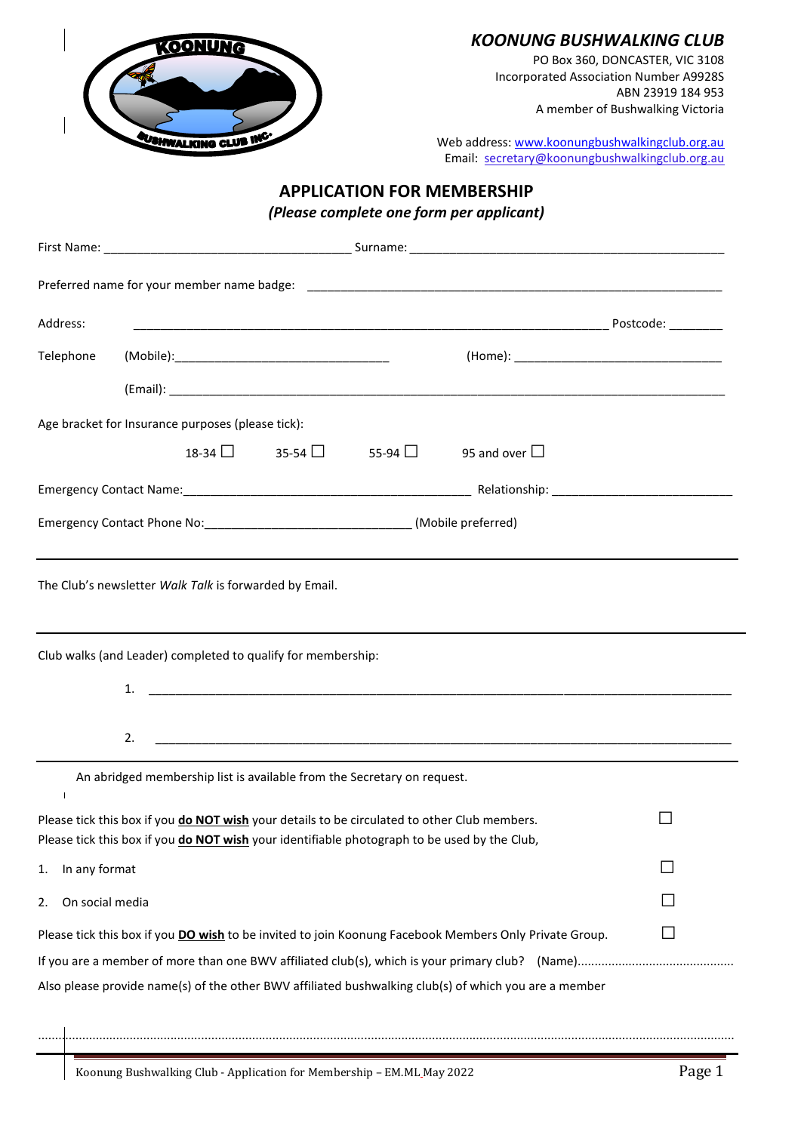

## *KOONUNG BUSHWALKING CLUB*

PO Box 360, DONCASTER, VIC 3108 Incorporated Association Number A9928S ABN 23919 184 953 A member of Bushwalking Victoria

Web address: [www.koonungbushwalkingclub.org.au](http://www.koonungbushwalkingclub.org.au/) Email: secretary@koonungbushwalkingclub.org.au

# **APPLICATION FOR MEMBERSHIP**

*(Please complete one form per applicant)*

| Address:                                                                                                                                                                                     |                                                                         |                                                                                                               |  |  |  |  |
|----------------------------------------------------------------------------------------------------------------------------------------------------------------------------------------------|-------------------------------------------------------------------------|---------------------------------------------------------------------------------------------------------------|--|--|--|--|
| Telephone                                                                                                                                                                                    |                                                                         |                                                                                                               |  |  |  |  |
|                                                                                                                                                                                              |                                                                         |                                                                                                               |  |  |  |  |
|                                                                                                                                                                                              | Age bracket for Insurance purposes (please tick):                       |                                                                                                               |  |  |  |  |
|                                                                                                                                                                                              |                                                                         | $18-34$ $\Box$ 35-54 $\Box$ 55-94 $\Box$ 95 and over $\Box$                                                   |  |  |  |  |
|                                                                                                                                                                                              |                                                                         |                                                                                                               |  |  |  |  |
|                                                                                                                                                                                              |                                                                         |                                                                                                               |  |  |  |  |
| The Club's newsletter Walk Talk is forwarded by Email.                                                                                                                                       |                                                                         |                                                                                                               |  |  |  |  |
| Club walks (and Leader) completed to qualify for membership:                                                                                                                                 |                                                                         |                                                                                                               |  |  |  |  |
|                                                                                                                                                                                              | 2.                                                                      |                                                                                                               |  |  |  |  |
| $\mathbf{I}$                                                                                                                                                                                 | An abridged membership list is available from the Secretary on request. |                                                                                                               |  |  |  |  |
| Please tick this box if you do NOT wish your details to be circulated to other Club members.<br>Please tick this box if you do NOT wish your identifiable photograph to be used by the Club, |                                                                         |                                                                                                               |  |  |  |  |
| In any format<br>1.                                                                                                                                                                          |                                                                         |                                                                                                               |  |  |  |  |
| On social media<br>2.                                                                                                                                                                        |                                                                         |                                                                                                               |  |  |  |  |
|                                                                                                                                                                                              |                                                                         | Please tick this box if you <b>DO wish</b> to be invited to join Koonung Facebook Members Only Private Group. |  |  |  |  |
|                                                                                                                                                                                              |                                                                         |                                                                                                               |  |  |  |  |
| Also please provide name(s) of the other BWV affiliated bushwalking club(s) of which you are a member                                                                                        |                                                                         |                                                                                                               |  |  |  |  |

.............................................................................................................................................................................................................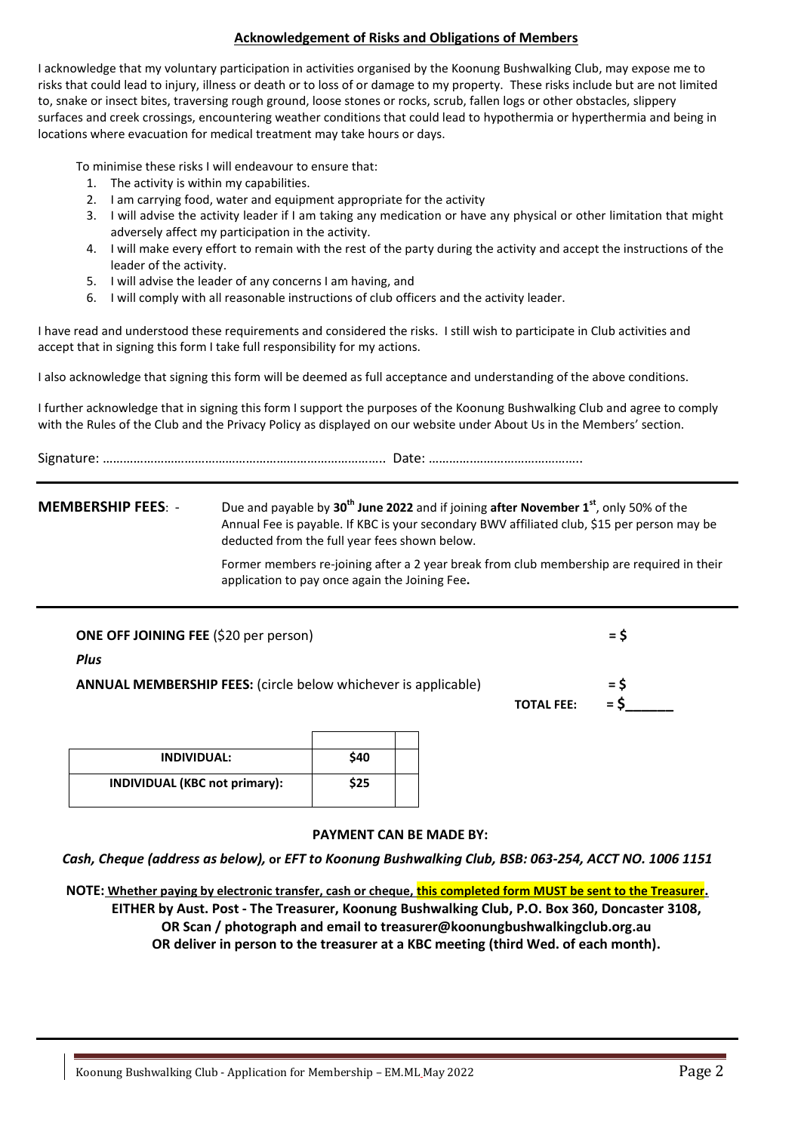#### **Acknowledgement of Risks and Obligations of Members**

I acknowledge that my voluntary participation in activities organised by the Koonung Bushwalking Club, may expose me to risks that could lead to injury, illness or death or to loss of or damage to my property. These risks include but are not limited to, snake or insect bites, traversing rough ground, loose stones or rocks, scrub, fallen logs or other obstacles, slippery surfaces and creek crossings, encountering weather conditions that could lead to hypothermia or hyperthermia and being in locations where evacuation for medical treatment may take hours or days.

To minimise these risks I will endeavour to ensure that:

- 1. The activity is within my capabilities.
- 2. I am carrying food, water and equipment appropriate for the activity
- 3. I will advise the activity leader if I am taking any medication or have any physical or other limitation that might adversely affect my participation in the activity.
- 4. I will make every effort to remain with the rest of the party during the activity and accept the instructions of the leader of the activity.
- 5. I will advise the leader of any concerns I am having, and
- 6. I will comply with all reasonable instructions of club officers and the activity leader.

I have read and understood these requirements and considered the risks. I still wish to participate in Club activities and accept that in signing this form I take full responsibility for my actions.

I also acknowledge that signing this form will be deemed as full acceptance and understanding of the above conditions.

I further acknowledge that in signing this form I support the purposes of the Koonung Bushwalking Club and agree to comply with the Rules of the Club and the Privacy Policy as displayed on our website under About Us in the Members' section.

**MEMBERSHIP FEES**: - Due and payable by **30th June 2022** and if joining **after November 1st** , only 50% of the Annual Fee is payable. If KBC is your secondary BWV affiliated club, \$15 per person may be deducted from the full year fees shown below.

> Former members re-joining after a 2 year break from club membership are required in their application to pay once again the Joining Fee**.**

| <b>ONE OFF JOINING FEE (\$20 per person)</b>                          |                   | $=$ S          |  |
|-----------------------------------------------------------------------|-------------------|----------------|--|
| <b>Plus</b>                                                           |                   |                |  |
| <b>ANNUAL MEMBERSHIP FEES:</b> (circle below whichever is applicable) | <b>TOTAL FEE:</b> | $=$ S<br>$=$ S |  |

| <b>INDIVIDUAL:</b>                   | \$40 |  |
|--------------------------------------|------|--|
| <b>INDIVIDUAL (KBC not primary):</b> | \$25 |  |

#### **PAYMENT CAN BE MADE BY:**

*Cash, Cheque (address as below),* **or** *EFT to Koonung Bushwalking Club, BSB: 063-254, ACCT NO. 1006 1151*

**NOTE: Whether paying by electronic transfer, cash or cheque, this completed form MUST be sent to the Treasurer. EITHER by Aust. Post - The Treasurer, Koonung Bushwalking Club, P.O. Box 360, Doncaster 3108, OR Scan / photograph and email to treasurer@koonungbushwalkingclub.org.au OR deliver in person to the treasurer at a KBC meeting (third Wed. of each month).**